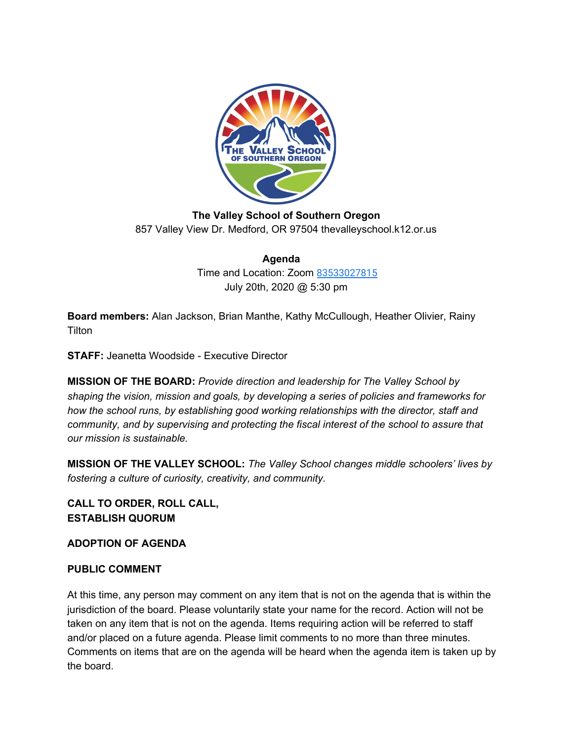

**The Valley School of Southern Oregon** 857 Valley View Dr. Medford, OR 97504 thevalleyschool.k12.or.us

> **Agenda** Time and Location: Zoom [83533027815](https://us02web.zoom.us/j/83533027815) July 20th, 2020 @ 5:30 pm

**Board members:** Alan Jackson, Brian Manthe, Kathy McCullough, Heather Olivier, Rainy **Tilton** 

**STAFF:** Jeanetta Woodside - Executive Director

**MISSION OF THE BOARD:** *Provide direction and leadership for The Valley School by shaping the vision, mission and goals, by developing a series of policies and frameworks for how the school runs, by establishing good working relationships with the director, staff and community, and by supervising and protecting the fiscal interest of the school to assure that our mission is sustainable.*

**MISSION OF THE VALLEY SCHOOL:** *The Valley School changes middle schoolers' lives by fostering a culture of curiosity, creativity, and community.*

**CALL TO ORDER, ROLL CALL, ESTABLISH QUORUM**

**ADOPTION OF AGENDA**

## **PUBLIC COMMENT**

At this time, any person may comment on any item that is not on the agenda that is within the jurisdiction of the board. Please voluntarily state your name for the record. Action will not be taken on any item that is not on the agenda. Items requiring action will be referred to staff and/or placed on a future agenda. Please limit comments to no more than three minutes. Comments on items that are on the agenda will be heard when the agenda item is taken up by the board.